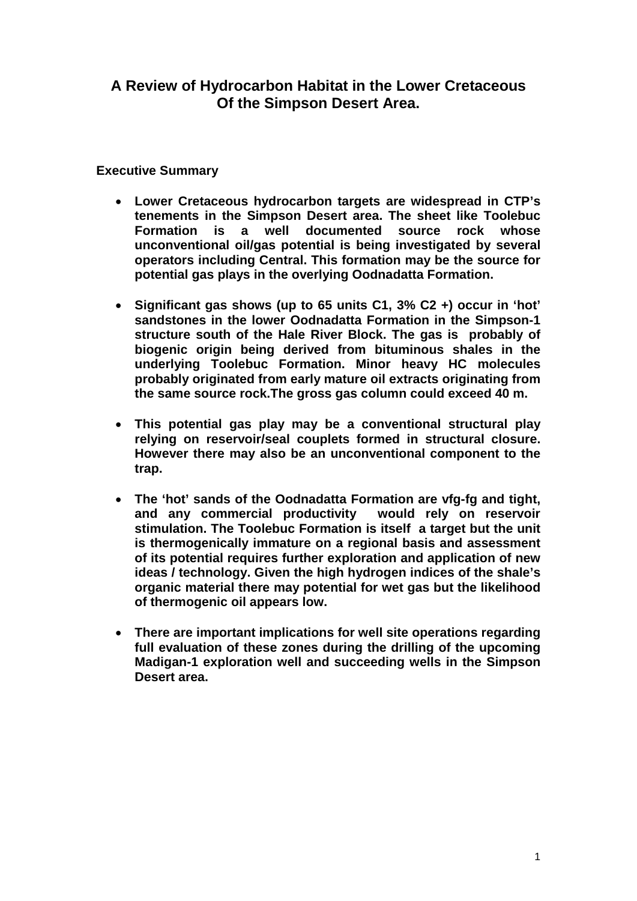## **A Review of Hydrocarbon Habitat in the Lower Cretaceous Of the Simpson Desert Area.**

### **Executive Summary**

- **Lower Cretaceous hydrocarbon targets are widespread in CTP's tenements in the Simpson Desert area. The sheet like Toolebuc Formation is a well documented source rock whose unconventional oil/gas potential is being investigated by several operators including Central. This formation may be the source for potential gas plays in the overlying Oodnadatta Formation.**
- **Significant gas shows (up to 65 units C1, 3% C2 +) occur in 'hot' sandstones in the lower Oodnadatta Formation in the Simpson-1 structure south of the Hale River Block. The gas is probably of biogenic origin being derived from bituminous shales in the underlying Toolebuc Formation. Minor heavy HC molecules probably originated from early mature oil extracts originating from the same source rock.The gross gas column could exceed 40 m.**
- **This potential gas play may be a conventional structural play relying on reservoir/seal couplets formed in structural closure. However there may also be an unconventional component to the trap.**
- **The 'hot' sands of the Oodnadatta Formation are vfg-fg and tight, and any commercial productivity would rely on reservoir stimulation. The Toolebuc Formation is itself a target but the unit is thermogenically immature on a regional basis and assessment of its potential requires further exploration and application of new ideas / technology. Given the high hydrogen indices of the shale's organic material there may potential for wet gas but the likelihood of thermogenic oil appears low.**
- **There are important implications for well site operations regarding full evaluation of these zones during the drilling of the upcoming Madigan-1 exploration well and succeeding wells in the Simpson Desert area.**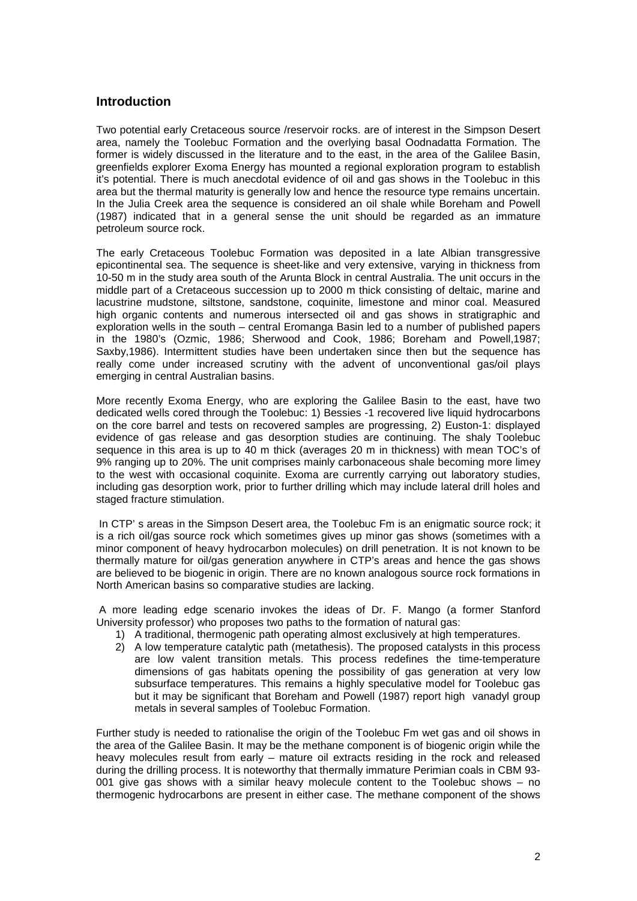#### **Introduction**

Two potential early Cretaceous source /reservoir rocks. are of interest in the Simpson Desert area, namely the Toolebuc Formation and the overlying basal Oodnadatta Formation. The former is widely discussed in the literature and to the east, in the area of the Galilee Basin, greenfields explorer Exoma Energy has mounted a regional exploration program to establish it's potential. There is much anecdotal evidence of oil and gas shows in the Toolebuc in this area but the thermal maturity is generally low and hence the resource type remains uncertain. In the Julia Creek area the sequence is considered an oil shale while Boreham and Powell (1987) indicated that in a general sense the unit should be regarded as an immature petroleum source rock.

The early Cretaceous Toolebuc Formation was deposited in a late Albian transgressive epicontinental sea. The sequence is sheet-like and very extensive, varying in thickness from 10-50 m in the study area south of the Arunta Block in central Australia. The unit occurs in the middle part of a Cretaceous succession up to 2000 m thick consisting of deltaic, marine and lacustrine mudstone, siltstone, sandstone, coquinite, limestone and minor coal. Measured high organic contents and numerous intersected oil and gas shows in stratigraphic and exploration wells in the south – central Eromanga Basin led to a number of published papers in the 1980's (Ozmic, 1986; Sherwood and Cook, 1986; Boreham and Powell,1987; Saxby,1986). Intermittent studies have been undertaken since then but the sequence has really come under increased scrutiny with the advent of unconventional gas/oil plays emerging in central Australian basins.

More recently Exoma Energy, who are exploring the Galilee Basin to the east, have two dedicated wells cored through the Toolebuc: 1) Bessies -1 recovered live liquid hydrocarbons on the core barrel and tests on recovered samples are progressing, 2) Euston-1: displayed evidence of gas release and gas desorption studies are continuing. The shaly Toolebuc sequence in this area is up to 40 m thick (averages 20 m in thickness) with mean TOC's of 9% ranging up to 20%. The unit comprises mainly carbonaceous shale becoming more limey to the west with occasional coquinite. Exoma are currently carrying out laboratory studies, including gas desorption work, prior to further drilling which may include lateral drill holes and staged fracture stimulation.

In CTP' s areas in the Simpson Desert area, the Toolebuc Fm is an enigmatic source rock; it is a rich oil/gas source rock which sometimes gives up minor gas shows (sometimes with a minor component of heavy hydrocarbon molecules) on drill penetration. It is not known to be thermally mature for oil/gas generation anywhere in CTP's areas and hence the gas shows are believed to be biogenic in origin. There are no known analogous source rock formations in North American basins so comparative studies are lacking.

A more leading edge scenario invokes the ideas of Dr. F. Mango (a former Stanford University professor) who proposes two paths to the formation of natural gas:

- 1) A traditional, thermogenic path operating almost exclusively at high temperatures.
- 2) A low temperature catalytic path (metathesis). The proposed catalysts in this process are low valent transition metals. This process redefines the time-temperature dimensions of gas habitats opening the possibility of gas generation at very low subsurface temperatures. This remains a highly speculative model for Toolebuc gas but it may be significant that Boreham and Powell (1987) report high vanadyl group metals in several samples of Toolebuc Formation.

Further study is needed to rationalise the origin of the Toolebuc Fm wet gas and oil shows in the area of the Galilee Basin. It may be the methane component is of biogenic origin while the heavy molecules result from early – mature oil extracts residing in the rock and released during the drilling process. It is noteworthy that thermally immature Perimian coals in CBM 93- 001 give gas shows with a similar heavy molecule content to the Toolebuc shows – no thermogenic hydrocarbons are present in either case. The methane component of the shows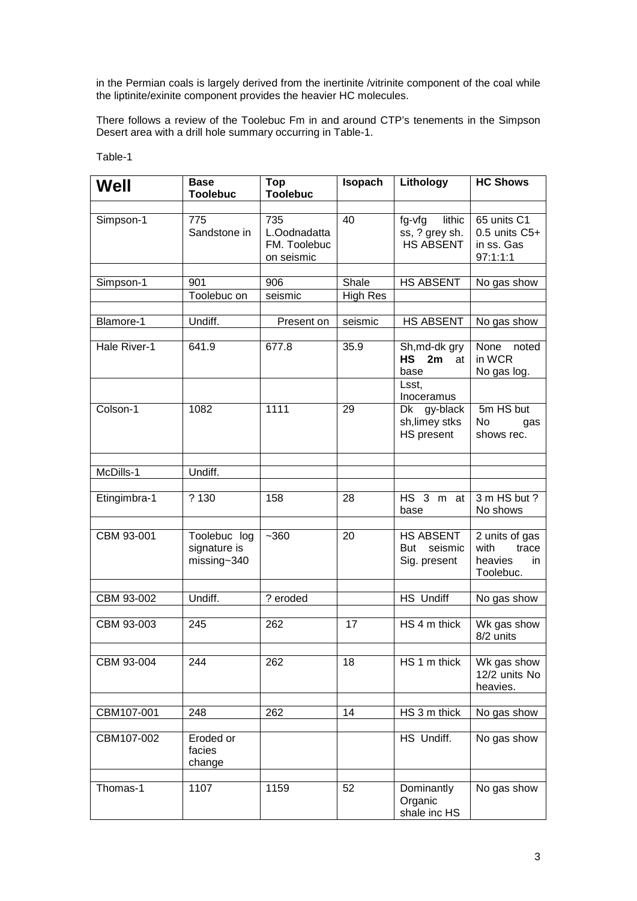in the Permian coals is largely derived from the inertinite /vitrinite component of the coal while the liptinite/exinite component provides the heavier HC molecules.

There follows a review of the Toolebuc Fm in and around CTP's tenements in the Simpson Desert area with a drill hole summary occurring in Table-1.

| Well         | <b>Base</b><br><b>Toolebuc</b>              | Top<br><b>Toolebuc</b>                            | Isopach         | Lithology                                                 | <b>HC Shows</b>                                                |
|--------------|---------------------------------------------|---------------------------------------------------|-----------------|-----------------------------------------------------------|----------------------------------------------------------------|
| Simpson-1    | 775<br>Sandstone in                         | 735<br>L.Oodnadatta<br>FM. Toolebuc<br>on seismic | 40              | fg-vfg<br>lithic<br>ss, ? grey sh.<br><b>HS ABSENT</b>    | 65 units C1<br>$0.5$ units $C5+$<br>in ss. Gas<br>97:1:1:1     |
| Simpson-1    | 901                                         | 906                                               | Shale           | <b>HS ABSENT</b>                                          | No gas show                                                    |
|              | Toolebuc on                                 | seismic                                           | <b>High Res</b> |                                                           |                                                                |
|              |                                             |                                                   |                 |                                                           |                                                                |
| Blamore-1    | Undiff.                                     | Present on                                        | seismic         | <b>HS ABSENT</b>                                          | No gas show                                                    |
| Hale River-1 | 641.9                                       | 677.8                                             | 35.9            | Sh, md-dk gry<br><b>HS</b><br>2m<br>at<br>base            | None noted<br>in WCR<br>No gas log.                            |
|              |                                             |                                                   |                 | Lsst,<br>Inoceramus                                       |                                                                |
| Colson-1     | 1082                                        | 1111                                              | 29              | Dk gy-black<br>sh, limey stks<br><b>HS</b> present        | 5m HS but<br>No<br>gas<br>shows rec.                           |
|              |                                             |                                                   |                 |                                                           |                                                                |
| McDills-1    | Undiff.                                     |                                                   |                 |                                                           |                                                                |
| Etingimbra-1 | ? 130                                       | 158                                               | 28              | $HS$ 3<br>m at<br>base                                    | 3 m HS but ?<br>No shows                                       |
| CBM 93-001   | Toolebuc log<br>signature is<br>missing~340 | $-360$                                            | 20              | <b>HS ABSENT</b><br>seismic<br><b>But</b><br>Sig. present | 2 units of gas<br>with<br>trace<br>heavies<br>in.<br>Toolebuc. |
|              |                                             |                                                   |                 |                                                           |                                                                |
| CBM 93-002   | Undiff.                                     | ? eroded                                          |                 | <b>HS</b> Undiff                                          | No gas show                                                    |
| CBM 93-003   | 245                                         | 262                                               | 17              | HS 4 m thick                                              | Wk gas show<br>8/2 units                                       |
| CBM 93-004   | 244                                         | 262                                               | 18              | HS 1 m thick                                              | Wk gas show<br>12/2 units No<br>heavies.                       |
|              |                                             |                                                   |                 |                                                           |                                                                |
| CBM107-001   | 248                                         | 262                                               | 14              | HS 3 m thick                                              | No gas show                                                    |
| CBM107-002   | Eroded or<br>facies<br>change               |                                                   |                 | HS Undiff.                                                | No gas show                                                    |
|              |                                             |                                                   |                 |                                                           |                                                                |
| Thomas-1     | 1107                                        | 1159                                              | 52              | Dominantly<br>Organic<br>shale inc HS                     | No gas show                                                    |

#### Table-1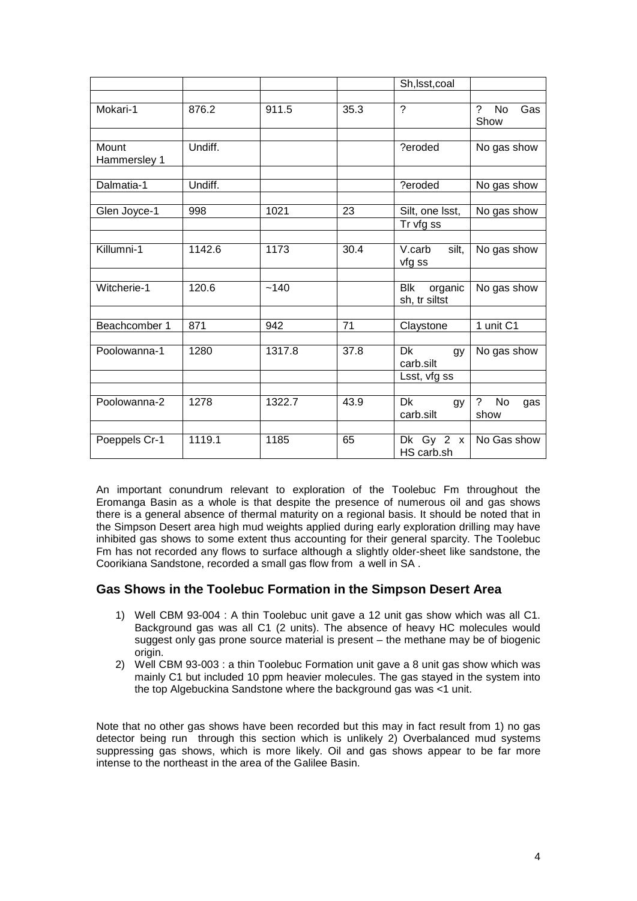|                       |         |        |      | Sh, Isst, coal                         |                                                   |
|-----------------------|---------|--------|------|----------------------------------------|---------------------------------------------------|
|                       |         |        |      |                                        |                                                   |
| Mokari-1              | 876.2   | 911.5  | 35.3 | $\tilde{?}$                            | 2<br><b>No</b><br>Gas<br>Show                     |
|                       |         |        |      |                                        |                                                   |
| Mount<br>Hammersley 1 | Undiff. |        |      | ?eroded                                | No gas show                                       |
|                       |         |        |      |                                        |                                                   |
| Dalmatia-1            | Undiff. |        |      | ?eroded                                | No gas show                                       |
|                       |         |        |      |                                        |                                                   |
| Glen Joyce-1          | 998     | 1021   | 23   | Silt, one lsst,                        | No gas show                                       |
|                       |         |        |      | Tr vfg ss                              |                                                   |
|                       |         |        |      |                                        |                                                   |
| Killumni-1            | 1142.6  | 1173   | 30.4 | V.carb<br>silt.<br>vfg ss              | No gas show                                       |
|                       |         |        |      |                                        |                                                   |
| Witcherie-1           | 120.6   | ~140   |      | <b>Blk</b><br>organic<br>sh, tr siltst | No gas show                                       |
|                       |         |        |      |                                        |                                                   |
| Beachcomber 1         | 871     | 942    | 71   | Claystone                              | 1 unit C1                                         |
|                       |         |        |      |                                        |                                                   |
| Poolowanna-1          | 1280    | 1317.8 | 37.8 | Dk<br>gy<br>carb.silt                  | No gas show                                       |
|                       |         |        |      | Lsst, vfg ss                           |                                                   |
|                       |         |        |      |                                        |                                                   |
| Poolowanna-2          | 1278    | 1322.7 | 43.9 | Dk<br>gy<br>carb.silt                  | $\boldsymbol{\gamma}$<br><b>No</b><br>gas<br>show |
|                       |         |        |      |                                        |                                                   |
| Poeppels Cr-1         | 1119.1  | 1185   | 65   | Dk Gy $2 x$<br>HS carb.sh              | No Gas show                                       |

An important conundrum relevant to exploration of the Toolebuc Fm throughout the Eromanga Basin as a whole is that despite the presence of numerous oil and gas shows there is a general absence of thermal maturity on a regional basis. It should be noted that in the Simpson Desert area high mud weights applied during early exploration drilling may have inhibited gas shows to some extent thus accounting for their general sparcity. The Toolebuc Fm has not recorded any flows to surface although a slightly older-sheet like sandstone, the Coorikiana Sandstone, recorded a small gas flow from a well in SA .

### **Gas Shows in the Toolebuc Formation in the Simpson Desert Area**

- 1) Well CBM 93-004 : A thin Toolebuc unit gave a 12 unit gas show which was all C1. Background gas was all C1 (2 units). The absence of heavy HC molecules would suggest only gas prone source material is present – the methane may be of biogenic origin.
- 2) Well CBM 93-003 : a thin Toolebuc Formation unit gave a 8 unit gas show which was mainly C1 but included 10 ppm heavier molecules. The gas stayed in the system into the top Algebuckina Sandstone where the background gas was <1 unit.

Note that no other gas shows have been recorded but this may in fact result from 1) no gas detector being run through this section which is unlikely 2) Overbalanced mud systems suppressing gas shows, which is more likely. Oil and gas shows appear to be far more intense to the northeast in the area of the Galilee Basin.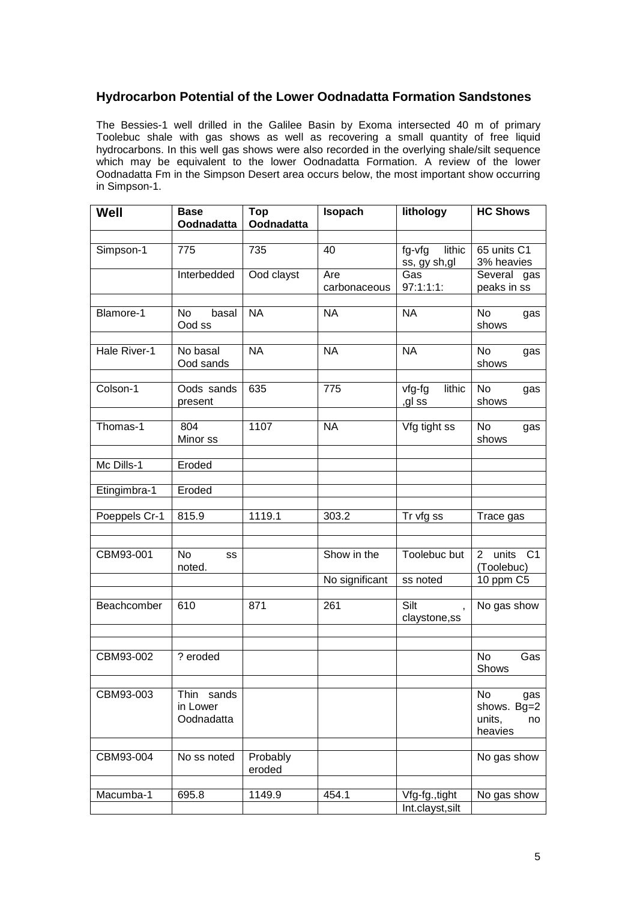### **Hydrocarbon Potential of the Lower Oodnadatta Formation Sandstones**

The Bessies-1 well drilled in the Galilee Basin by Exoma intersected 40 m of primary Toolebuc shale with gas shows as well as recovering a small quantity of free liquid hydrocarbons. In this well gas shows were also recorded in the overlying shale/silt sequence which may be equivalent to the lower Oodnadatta Formation. A review of the lower Oodnadatta Fm in the Simpson Desert area occurs below, the most important show occurring in Simpson-1.

| Well          | <b>Base</b><br>Oodnadatta            | <b>Top</b><br>Oodnadatta | Isopach             | lithology                          | <b>HC Shows</b>                                     |
|---------------|--------------------------------------|--------------------------|---------------------|------------------------------------|-----------------------------------------------------|
|               |                                      |                          |                     |                                    |                                                     |
| Simpson-1     | 775                                  | 735                      | 40                  | fg-vfg<br>lithic<br>ss, gy sh,gl   | 65 units C1<br>3% heavies                           |
|               | Interbedded                          | Ood clayst               | Are<br>carbonaceous | Gas<br>97:1:1:1:                   | Several gas<br>peaks in ss                          |
| Blamore-1     | basal<br>No<br>Ood ss                | <b>NA</b>                | <b>NA</b>           | <b>NA</b>                          | No<br>gas<br>shows                                  |
| Hale River-1  | No basal<br>Ood sands                | <b>NA</b>                | <b>NA</b>           | <b>NA</b>                          | No<br>gas<br>shows                                  |
| Colson-1      | Oods sands<br>present                | 635                      | 775                 | lithic<br>vfg-fg<br>,gl ss         | No<br>gas<br>shows                                  |
| Thomas-1      | 804<br>Minor ss                      | 1107                     | <b>NA</b>           | Vfg tight ss                       | No<br>gas<br>shows                                  |
| Mc Dills-1    | Eroded                               |                          |                     |                                    |                                                     |
| Etingimbra-1  | Eroded                               |                          |                     |                                    |                                                     |
| Poeppels Cr-1 | 815.9                                | 1119.1                   | 303.2               | Tr vfg ss                          | Trace gas                                           |
| CBM93-001     | <b>No</b><br>SS<br>noted.            |                          | Show in the         | Toolebuc but                       | 2 units C1<br>(Toolebuc)                            |
|               |                                      |                          | No significant      | ss noted                           | 10 ppm C5                                           |
| Beachcomber   | 610                                  | 871                      | 261                 | Silt<br>claystone,ss               | No gas show                                         |
|               |                                      |                          |                     |                                    |                                                     |
| CBM93-002     | ? eroded                             |                          |                     |                                    | <b>No</b><br>Gas<br>Shows                           |
| CBM93-003     | Thin sands<br>in Lower<br>Oodnadatta |                          |                     |                                    | No<br>gas<br>shows. Bg=2<br>units,<br>no<br>heavies |
| CBM93-004     | No ss noted                          | Probably<br>eroded       |                     |                                    | No gas show                                         |
| Macumba-1     | 695.8                                | 1149.9                   | 454.1               | Vfg-fg., tight<br>Int.clayst, silt | No gas show                                         |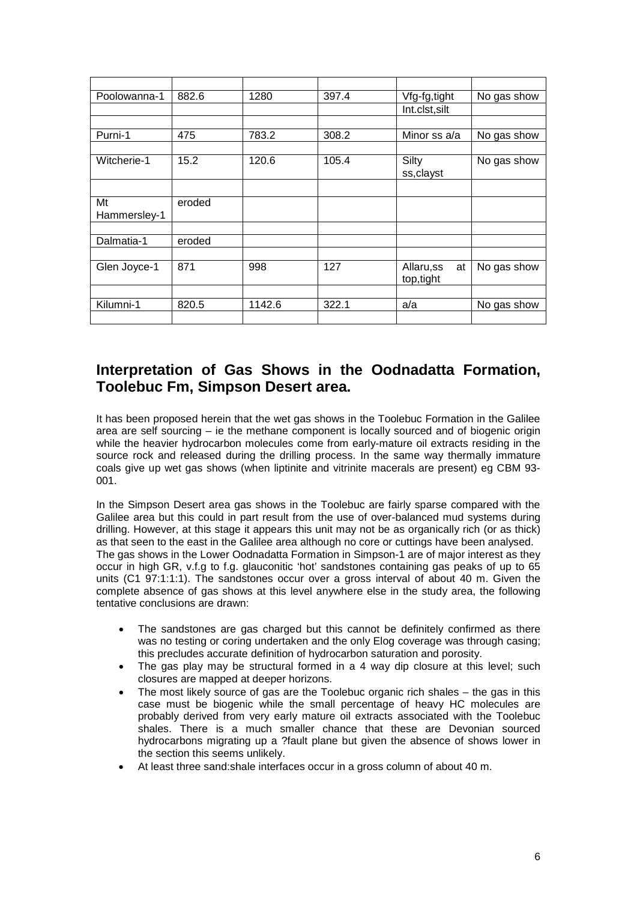| Poolowanna-1 | 882.6  | 1280   | 397.4 | Vfg-fg,tight    | No gas show |
|--------------|--------|--------|-------|-----------------|-------------|
|              |        |        |       | Int.clst,silt   |             |
|              |        |        |       |                 |             |
| Purni-1      | 475    | 783.2  | 308.2 | Minor ss a/a    | No gas show |
|              |        |        |       |                 |             |
| Witcherie-1  | 15.2   | 120.6  | 105.4 | Silty           | No gas show |
|              |        |        |       | ss, clayst      |             |
|              |        |        |       |                 |             |
| Mt           | eroded |        |       |                 |             |
| Hammersley-1 |        |        |       |                 |             |
|              |        |        |       |                 |             |
| Dalmatia-1   | eroded |        |       |                 |             |
|              |        |        |       |                 |             |
| Glen Joyce-1 | 871    | 998    | 127   | Allaru,ss<br>at | No gas show |
|              |        |        |       | top, tight      |             |
|              |        |        |       |                 |             |
| Kilumni-1    | 820.5  | 1142.6 | 322.1 | a/a             | No gas show |
|              |        |        |       |                 |             |

# **Interpretation of Gas Shows in the Oodnadatta Formation, Toolebuc Fm, Simpson Desert area.**

It has been proposed herein that the wet gas shows in the Toolebuc Formation in the Galilee area are self sourcing – ie the methane component is locally sourced and of biogenic origin while the heavier hydrocarbon molecules come from early-mature oil extracts residing in the source rock and released during the drilling process. In the same way thermally immature coals give up wet gas shows (when liptinite and vitrinite macerals are present) eg CBM 93- 001.

In the Simpson Desert area gas shows in the Toolebuc are fairly sparse compared with the Galilee area but this could in part result from the use of over-balanced mud systems during drilling. However, at this stage it appears this unit may not be as organically rich (or as thick) as that seen to the east in the Galilee area although no core or cuttings have been analysed. The gas shows in the Lower Oodnadatta Formation in Simpson-1 are of major interest as they occur in high GR, v.f.g to f.g. glauconitic 'hot' sandstones containing gas peaks of up to 65 units (C1 97:1:1:1). The sandstones occur over a gross interval of about 40 m. Given the complete absence of gas shows at this level anywhere else in the study area, the following tentative conclusions are drawn:

- The sandstones are gas charged but this cannot be definitely confirmed as there was no testing or coring undertaken and the only Elog coverage was through casing; this precludes accurate definition of hydrocarbon saturation and porosity.
- The gas play may be structural formed in a 4 way dip closure at this level; such closures are mapped at deeper horizons.
- The most likely source of gas are the Toolebuc organic rich shales the gas in this case must be biogenic while the small percentage of heavy HC molecules are probably derived from very early mature oil extracts associated with the Toolebuc shales. There is a much smaller chance that these are Devonian sourced hydrocarbons migrating up a ?fault plane but given the absence of shows lower in the section this seems unlikely.
- At least three sand:shale interfaces occur in a gross column of about 40 m.